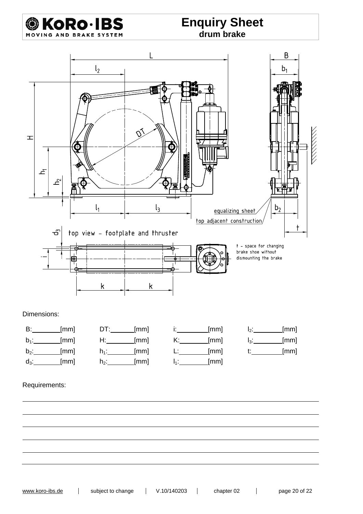

## **Enquiry Sheet drum brake**



#### Requirements:

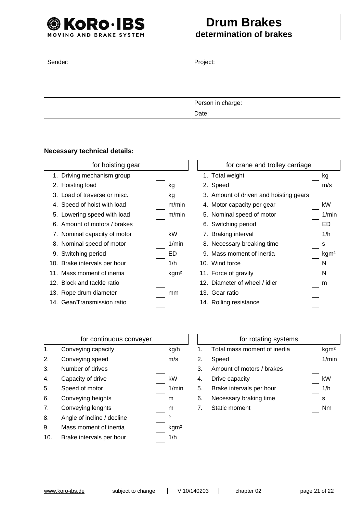# **Drum Brakes determination of brakes**

| Sender: | Project:          |
|---------|-------------------|
|         |                   |
|         |                   |
|         | Person in charge: |
|         | Date:             |

#### **Necessary technical details:**

| for hoisting gear |                              |                  | for crane and trolley carriage |                                        |   |     |
|-------------------|------------------------------|------------------|--------------------------------|----------------------------------------|---|-----|
|                   | 1. Driving mechanism group   |                  |                                | 1. Total weight                        |   | kg  |
|                   | 2. Hoisting load             | kg               |                                | 2. Speed                               |   | m/s |
|                   | 3. Load of traverse or misc. | kg               |                                | 3. Amount of driven and hoisting gears |   |     |
|                   | 4. Speed of hoist with load  | m/min            |                                | 4. Motor capacity per gear             |   | kW  |
|                   | 5. Lowering speed with load  | m/min            |                                | 5. Nominal speed of motor              |   | 1/m |
|                   | 6. Amount of motors / brakes |                  |                                | 6. Switching period                    |   | ED  |
|                   | 7. Nominal capacity of motor | kW               |                                | 7. Braking interval                    |   | 1/h |
|                   | 8. Nominal speed of motor    | 1/min            |                                | 8. Necessary breaking time             | s |     |
|                   | 9. Switching period          | ED               |                                | 9. Mass moment of inertia              |   | kgm |
|                   | 10. Brake intervals per hour | 1/h              |                                | 10. Wind force                         | N |     |
|                   | 11. Mass moment of inertia   | kgm <sup>2</sup> |                                | 11. Force of gravity                   | N |     |
|                   | 12. Block and tackle ratio   |                  |                                | 12. Diameter of wheel / idler          |   | m   |
|                   | 13. Rope drum diameter       | mm               |                                | 13. Gear ratio                         |   |     |
|                   | 14. Gear/Transmission ratio  |                  |                                | 14. Rolling resistance                 |   |     |

| for hoisting gear            |                  | for crane and trolley carriage         |                  |
|------------------------------|------------------|----------------------------------------|------------------|
| 1. Driving mechanism group   |                  | 1. Total weight                        | kg               |
| 2. Hoisting load             | kg               | 2. Speed                               | m/s              |
| 3. Load of traverse or misc. | kg               | 3. Amount of driven and hoisting gears |                  |
| 4. Speed of hoist with load  | m/min            | 4. Motor capacity per gear             | kW               |
| 5. Lowering speed with load  | m/min            | 5. Nominal speed of motor              | 1/min            |
| 6. Amount of motors / brakes |                  | 6. Switching period                    | ED               |
| 7. Nominal capacity of motor | kW               | 7. Braking interval                    | 1/h              |
| 8. Nominal speed of motor    | 1/min            | 8. Necessary breaking time             | s                |
| 9. Switching period          | ED               | 9. Mass moment of inertia              | kgm <sup>2</sup> |
| 0. Brake intervals per hour  | 1/h              | 10. Wind force                         | N                |
| 1. Mass moment of inertia    | kgm <sup>2</sup> | 11. Force of gravity                   | N                |
| 2. Block and tackle ratio    |                  | 12. Diameter of wheel / idler          | m                |
| 3. Rope drum diameter        | mm               | 13. Gear ratio                         |                  |
| 4. Gear/Transmission ratio   |                  | 14. Rolling resistance                 |                  |
|                              |                  |                                        |                  |

|     | for continuous conveyer    |                  |    | for rotating systems         |                  |
|-----|----------------------------|------------------|----|------------------------------|------------------|
| 1.  | Conveying capacity         | kg/h             |    | Total mass moment of inertia | kgm <sup>2</sup> |
| 2.  | Conveying speed            | m/s              | 2. | Speed                        | 1/min            |
| 3.  | Number of drives           |                  | 3. | Amount of motors / brakes    |                  |
| 4.  | Capacity of drive          | kW               | 4. | Drive capacity               | kW               |
| 5.  | Speed of motor             | 1/min            | 5. | Brake intervals per hour     | 1/h              |
| 6.  | Conveying heights          | m                | 6. | Necessary braking time       | s                |
| 7.  | Conveying lenghts          | m                | 7. | Static moment                | <b>Nm</b>        |
| 8.  | Angle of incline / decline | ٥                |    |                              |                  |
| 9.  | Mass moment of inertia     | kgm <sup>2</sup> |    |                              |                  |
| 10. | Brake intervals per hour   | 1/h              |    |                              |                  |

|               | for rotating systems         |                  |
|---------------|------------------------------|------------------|
| $\mathbf 1$ . | Total mass moment of inertia | kgm <sup>2</sup> |
| 2.            | Speed                        | 1/min            |
| 3.            | Amount of motors / brakes    |                  |
| 4.            | Drive capacity               | kW               |
| 5.            | Brake intervals per hour     | 1/h              |
| 6.            | Necessary braking time       | s                |
| 7             | <b>Static moment</b>         |                  |